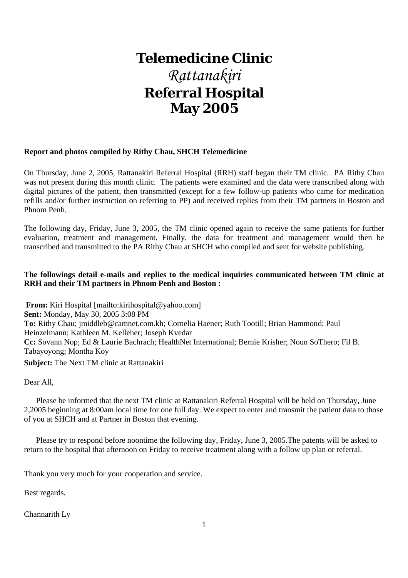# **Telemedicine Clinic** *Rattanakiri*  **Referral Hospital May 2005**

#### **Report and photos compiled by Rithy Chau, SHCH Telemedicine**

On Thursday, June 2, 2005, Rattanakiri Referral Hospital (RRH) staff began their TM clinic. PA Rithy Chau was not present during this month clinic. The patients were examined and the data were transcribed along with digital pictures of the patient, then transmitted (except for a few follow-up patients who came for medication refills and/or further instruction on referring to PP) and received replies from their TM partners in Boston and Phnom Penh.

The following day, Friday, June 3, 2005, the TM clinic opened again to receive the same patients for further evaluation, treatment and management. Finally, the data for treatment and management would then be transcribed and transmitted to the PA Rithy Chau at SHCH who compiled and sent for website publishing.

#### **The followings detail e-mails and replies to the medical inquiries communicated between TM clinic at RRH and their TM partners in Phnom Penh and Boston :**

**From:** Kiri Hospital [mailto:kirihospital@yahoo.com] **Sent:** Monday, May 30, 2005 3:08 PM **To:** Rithy Chau; jmiddleb@camnet.com.kh; Cornelia Haener; Ruth Tootill; Brian Hammond; Paul Heinzelmann; Kathleen M. Kelleher; Joseph Kvedar **Cc:** Sovann Nop; Ed & Laurie Bachrach; HealthNet International; Bernie Krisher; Noun SoThero; Fil B. Tabayoyong; Montha Koy **Subject:** The Next TM clinic at Rattanakiri

Dear All,

 Please be informed that the next TM clinic at Rattanakiri Referral Hospital will be held on Thursday, June 2,2005 beginning at 8:00am local time for one full day. We expect to enter and transmit the patient data to those of you at SHCH and at Partner in Boston that evening.

 Please try to respond before noontime the following day, Friday, June 3, 2005.The patents will be asked to return to the hospital that afternoon on Friday to receive treatment along with a follow up plan or referral.

Thank you very much for your cooperation and service.

Best regards,

Channarith Ly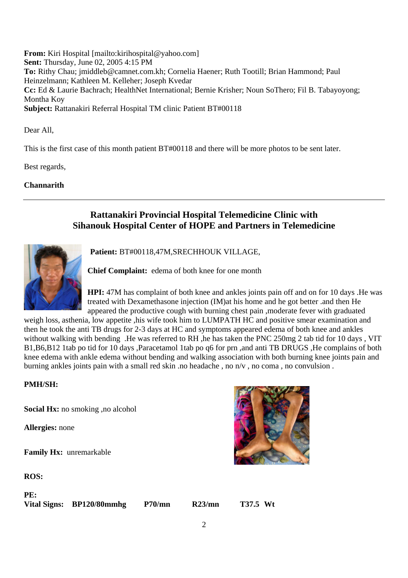**From:** Kiri Hospital [mailto:kirihospital@yahoo.com] **Sent:** Thursday, June 02, 2005 4:15 PM **To:** Rithy Chau; jmiddleb@camnet.com.kh; Cornelia Haener; Ruth Tootill; Brian Hammond; Paul Heinzelmann; Kathleen M. Kelleher; Joseph Kvedar **Cc:** Ed & Laurie Bachrach; HealthNet International; Bernie Krisher; Noun SoThero; Fil B. Tabayoyong; Montha Koy **Subject:** Rattanakiri Referral Hospital TM clinic Patient BT#00118

Dear All,

This is the first case of this month patient BT#00118 and there will be more photos to be sent later.

Best regards,

#### **Channarith**

# **Rattanakiri Provincial Hospital Telemedicine Clinic with Sihanouk Hospital Center of HOPE and Partners in Telemedicine**



**Patient:** BT#00118,47M,SRECHHOUK VILLAGE,

**Chief Complaint:** edema of both knee for one month

**HPI:** 47M has complaint of both knee and ankles joints pain off and on for 10 days .He was treated with Dexamethasone injection (IM)at his home and he got better .and then He appeared the productive cough with burning chest pain ,moderate fever with graduated

weigh loss, asthenia, low appetite ,his wife took him to LUMPATH HC and positive smear examination and then he took the anti TB drugs for 2-3 days at HC and symptoms appeared edema of both knee and ankles without walking with bending. He was referred to RH, he has taken the PNC 250mg 2 tab tid for 10 days, VIT B1,B6,B12 1tab po tid for 10 days ,Paracetamol 1tab po q6 for prn ,and anti TB DRUGS ,He complains of both knee edema with ankle edema without bending and walking association with both burning knee joints pain and burning ankles joints pain with a small red skin .no headache , no n/v , no coma , no convulsion .

#### **PMH/SH:**

**Social Hx:** no smoking ,no alcohol

**Allergies:** none

**Family Hx:** unremarkable

**ROS:**

**PE:** 

**Vital Signs: BP120/80mmhg P70/mn R23/mn T37.5 Wt**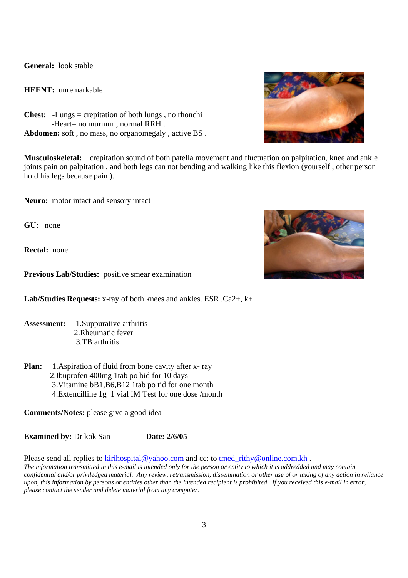**General:** look stable

**HEENT:** unremarkable

**Chest:** -Lungs = crepitation of both lungs , no rhonchi -Heart= no murmur , normal RRH . **Abdomen:** soft , no mass, no organomegaly , active BS .

**Musculoskeletal:** crepitation sound of both patella movement and fluctuation on palpitation, knee and ankle joints pain on palpitation , and both legs can not bending and walking like this flexion (yourself , other person hold his legs because pain ).

**Neuro:** motor intact and sensory intact

**GU:** none

**Rectal:** none

**Previous Lab/Studies:** positive smear examination

**Lab/Studies Requests:** x-ray of both knees and ankles. ESR .Ca2+, k+

- **Assessment:** 1.Suppurative arthritis 2.Rheumatic fever 3.TB arthritis
- **Plan:** 1.Aspiration of fluid from bone cavity after x-ray 2.Ibuprofen 400mg 1tab po bid for 10 days 3.Vitamine bB1,B6,B12 1tab po tid for one month 4.Extencilline 1g 1 vial IM Test for one dose /month

**Comments/Notes:** please give a good idea

**Examined by:** Dr kok San **Date: 2/6/05** 

Please send all replies to kirihospital@yahoo.com and cc: to tmed\_rithy@online.com.kh .

*The information transmitted in this e-mail is intended only for the person or entity to which it is addredded and may contain confidential and/or priviledged material. Any review, retransmission, dissemination or other use of or taking of any action in reliance upon, this information by persons or entities other than the intended recipient is prohibited. If you received this e-mail in error, please contact the sender and delete material from any computer.* 



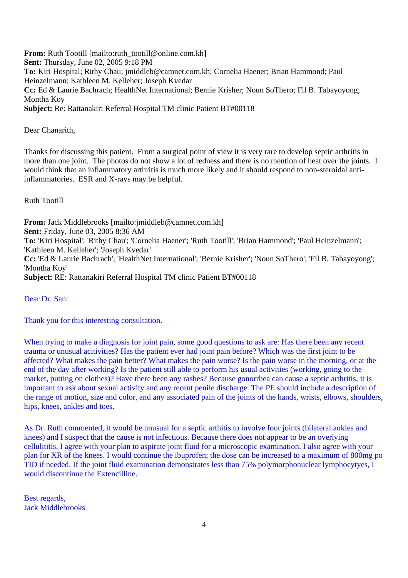From: Ruth Tootill [mailto:ruth\_tootill@online.com.kh] **Sent:** Thursday, June 02, 2005 9:18 PM **To:** Kiri Hospital; Rithy Chau; jmiddleb@camnet.com.kh; Cornelia Haener; Brian Hammond; Paul Heinzelmann; Kathleen M. Kelleher; Joseph Kvedar **Cc:** Ed & Laurie Bachrach; HealthNet International; Bernie Krisher; Noun SoThero; Fil B. Tabayoyong; Montha Koy **Subject:** Re: Rattanakiri Referral Hospital TM clinic Patient BT#00118

Dear Chanarith,

Thanks for discussing this patient. From a surgical point of view it is very rare to develop septic arthritis in more than one joint. The photos do not show a lot of redness and there is no mention of heat over the joints. I would think that an inflammatory arthritis is much more likely and it should respond to non-steroidal antiinflammatories. ESR and X-rays may be helpful.

Ruth Tootill

**From:** Jack Middlebrooks [mailto:jmiddleb@camnet.com.kh] **Sent:** Friday, June 03, 2005 8:36 AM **To:** 'Kiri Hospital'; 'Rithy Chau'; 'Cornelia Haener'; 'Ruth Tootill'; 'Brian Hammond'; 'Paul Heinzelmann'; 'Kathleen M. Kelleher'; 'Joseph Kvedar' **Cc:** 'Ed & Laurie Bachrach'; 'HealthNet International'; 'Bernie Krisher'; 'Noun SoThero'; 'Fil B. Tabayoyong'; 'Montha Koy' **Subject:** RE: Rattanakiri Referral Hospital TM clinic Patient BT#00118

Dear Dr. San:

Thank you for this interesting consultation.

When trying to make a diagnosis for joint pain, some good questions to ask are: Has there been any recent trauma or unusual acitivities? Has the patient ever had joint pain before? Which was the first joint to be affected? What makes the pain better? What makes the pain worse? Is the pain worse in the morning, or at the end of the day after working? Is the patient still able to perform his usual activities (working, going to the market, putting on clothes)? Have there been any rashes? Because gonorrhea can cause a septic arthritis, it is important to ask about sexual activity and any recent penile discharge. The PE should include a description of the range of motion, size and color, and any associated pain of the joints of the hands, wrists, elbows, shoulders, hips, knees, ankles and toes.

As Dr. Ruth commented, it would be unusual for a septic arthitis to involve four joints (bilateral ankles and knees) and I suspect that the cause is not infectious. Because there does not appear to be an overlying cellulititis, I agree with your plan to aspirate joint fluid for a microscopic examination. I also agree with your plan for XR of the knees. I would continue the ibuprofen; the dose can be increased to a maximum of 800mg po TID if needed. If the joint fluid examination demonstrates less than 75% polymorphonuclear lymphocytyes, I would discontinue the Extencilline.

Best regards, Jack Middlebrooks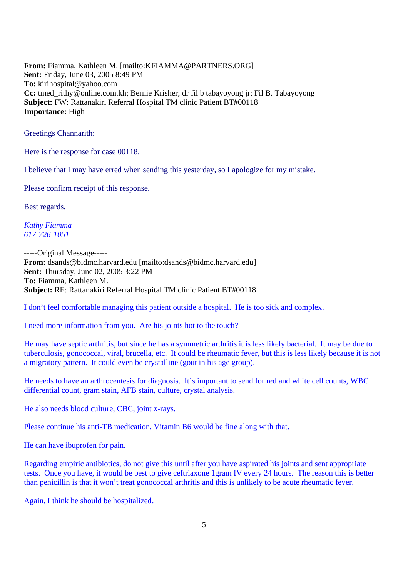**From:** Fiamma, Kathleen M. [mailto:KFIAMMA@PARTNERS.ORG] **Sent:** Friday, June 03, 2005 8:49 PM **To:** kirihospital@yahoo.com **Cc:** tmed\_rithy@online.com.kh; Bernie Krisher; dr fil b tabayoyong jr; Fil B. Tabayoyong **Subject:** FW: Rattanakiri Referral Hospital TM clinic Patient BT#00118 **Importance:** High

Greetings Channarith:

Here is the response for case 00118.

I believe that I may have erred when sending this yesterday, so I apologize for my mistake.

Please confirm receipt of this response.

Best regards,

*Kathy Fiamma 617-726-1051*

-----Original Message----- **From:** dsands@bidmc.harvard.edu [mailto:dsands@bidmc.harvard.edu] **Sent:** Thursday, June 02, 2005 3:22 PM **To:** Fiamma, Kathleen M. **Subject:** RE: Rattanakiri Referral Hospital TM clinic Patient BT#00118

I don't feel comfortable managing this patient outside a hospital. He is too sick and complex.

I need more information from you. Are his joints hot to the touch?

He may have septic arthritis, but since he has a symmetric arthritis it is less likely bacterial. It may be due to tuberculosis, gonococcal, viral, brucella, etc. It could be rheumatic fever, but this is less likely because it is not a migratory pattern. It could even be crystalline (gout in his age group).

He needs to have an arthrocentesis for diagnosis. It's important to send for red and white cell counts, WBC differential count, gram stain, AFB stain, culture, crystal analysis.

He also needs blood culture, CBC, joint x-rays.

Please continue his anti-TB medication. Vitamin B6 would be fine along with that.

He can have ibuprofen for pain.

Regarding empiric antibiotics, do not give this until after you have aspirated his joints and sent appropriate tests. Once you have, it would be best to give ceftriaxone 1gram IV every 24 hours. The reason this is better than penicillin is that it won't treat gonococcal arthritis and this is unlikely to be acute rheumatic fever.

Again, I think he should be hospitalized.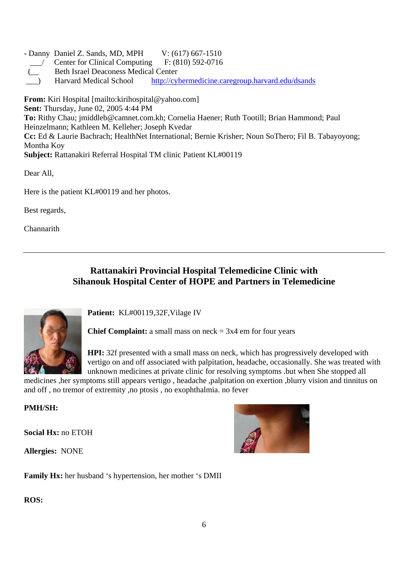- Danny Daniel Z. Sands, MD, MPH V: (617) 667-1510

- \_\_\_/ Center for Clinical Computing F: (810) 592-0716
- **Beth Israel Deaconess Medical Center**
- \_\_\_) Harvard Medical School http://cybermedicine.caregroup.harvard.edu/dsands

**From:** Kiri Hospital [mailto:kirihospital@yahoo.com] **Sent:** Thursday, June 02, 2005 4:44 PM **To:** Rithy Chau; jmiddleb@camnet.com.kh; Cornelia Haener; Ruth Tootill; Brian Hammond; Paul Heinzelmann; Kathleen M. Kelleher; Joseph Kvedar **Cc:** Ed & Laurie Bachrach; HealthNet International; Bernie Krisher; Noun SoThero; Fil B. Tabayoyong; Montha Koy **Subject:** Rattanakiri Referral Hospital TM clinic Patient KL#00119

Dear All,

Here is the patient KL#00119 and her photos.

Best regards,

**Channarith** 

# **Rattanakiri Provincial Hospital Telemedicine Clinic with Sihanouk Hospital Center of HOPE and Partners in Telemedicine**



**Patient:** KL#00119,32F,Vilage IV

**Chief Complaint:** a small mass on neck  $= 3x4$  em for four years

**HPI:** 32f presented with a small mass on neck, which has progressively developed with vertigo on and off associated with palpitation, headache, occasionally. She was treated with unknown medicines at private clinic for resolving symptoms .but when She stopped all

medicines ,her symptoms still appears vertigo , headache ,palpitation on exertion ,blurry vision and tinnitus on and off , no tremor of extremity ,no ptosis , no exophthalmia. no fever

## **PMH/SH:**

**Social Hx:** no ETOH

**Allergies:** NONE



**Family Hx:** her husband 's hypertension, her mother 's DMII

## **ROS:**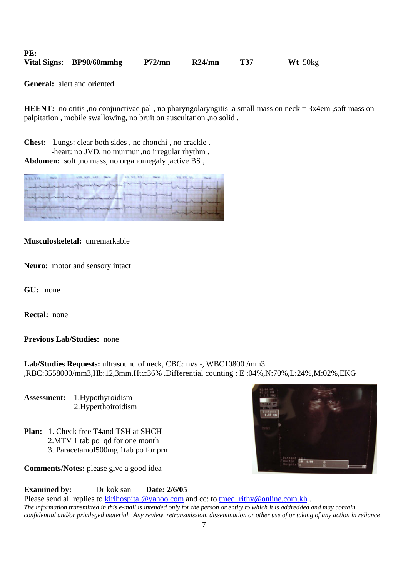| PE: |                          |        |         |              |
|-----|--------------------------|--------|---------|--------------|
|     | Vital Signs: BP90/60mmhg | P72/mn | R24/min | $Wt$ 50 $kg$ |

**General:** alert and oriented

**HEENT:** no otitis ,no conjunctivae pal, no pharyngolaryngitis .a small mass on neck = 3x4em ,soft mass on palpitation , mobile swallowing, no bruit on auscultation ,no solid .

**Chest:** -Lungs: clear both sides , no rhonchi , no crackle .

 -heart: no JVD, no murmur ,no irregular rhythm . Abdomen: soft ,no mass, no organomegaly ,active BS,

| 14. 32. 133. The Victorian         |                      |
|------------------------------------|----------------------|
| median property                    | procedure of process |
| <b>Representative Construction</b> |                      |
|                                    |                      |
|                                    | de marine            |
|                                    |                      |

#### **Musculoskeletal:** unremarkable

**Neuro:** motor and sensory intact

**GU:** none

**Rectal:** none

#### **Previous Lab/Studies:** none

**Lab/Studies Requests:** ultrasound of neck, CBC: m/s -, WBC10800 /mm3 ,RBC:3558000/mm3,Hb:12,3mm,Htc:36% .Differential counting : E :04%,N:70%,L:24%,M:02%,EKG

**Assessment:** 1.Hypothyroidism 2.Hyperthoiroidism

- **Plan:** 1. Check free T4and TSH at SHCH 2.MTV 1 tab po qd for one month
	- 3. Paracetamol500mg 1tab po for prn

**Comments/Notes:** please give a good idea



#### **Examined by:** Dr kok san **Date: 2/6/05**

Please send all replies to kirihospital@yahoo.com and cc: to tmed\_rithy@online.com.kh. *The information transmitted in this e-mail is intended only for the person or entity to which it is addredded and may contain confidential and/or privileged material. Any review, retransmission, dissemination or other use of or taking of any action in reliance*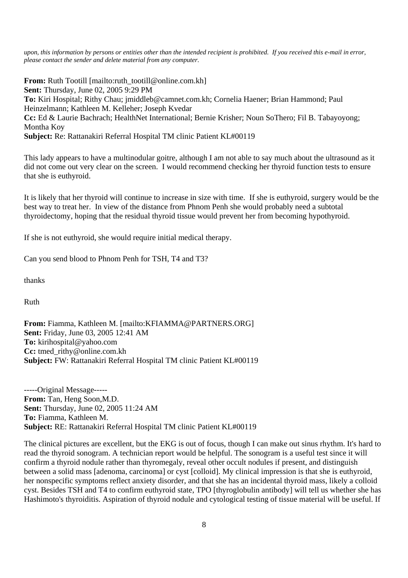*upon, this information by persons or entities other than the intended recipient is prohibited. If you received this e-mail in error, please contact the sender and delete material from any computer.* 

**From:** Ruth Tootill [mailto:ruth\_tootill@online.com.kh] **Sent:** Thursday, June 02, 2005 9:29 PM **To:** Kiri Hospital; Rithy Chau; jmiddleb@camnet.com.kh; Cornelia Haener; Brian Hammond; Paul Heinzelmann; Kathleen M. Kelleher; Joseph Kvedar **Cc:** Ed & Laurie Bachrach; HealthNet International; Bernie Krisher; Noun SoThero; Fil B. Tabayoyong; Montha Koy **Subject:** Re: Rattanakiri Referral Hospital TM clinic Patient KL#00119

This lady appears to have a multinodular goitre, although I am not able to say much about the ultrasound as it did not come out very clear on the screen. I would recommend checking her thyroid function tests to ensure that she is euthyroid.

It is likely that her thyroid will continue to increase in size with time. If she is euthyroid, surgery would be the best way to treat her. In view of the distance from Phnom Penh she would probably need a subtotal thyroidectomy, hoping that the residual thyroid tissue would prevent her from becoming hypothyroid.

If she is not euthyroid, she would require initial medical therapy.

Can you send blood to Phnom Penh for TSH, T4 and T3?

thanks

Ruth

**From:** Fiamma, Kathleen M. [mailto:KFIAMMA@PARTNERS.ORG] **Sent:** Friday, June 03, 2005 12:41 AM **To:** kirihospital@yahoo.com **Cc:** tmed\_rithy@online.com.kh **Subject:** FW: Rattanakiri Referral Hospital TM clinic Patient KL#00119

-----Original Message----- **From:** Tan, Heng Soon,M.D. **Sent:** Thursday, June 02, 2005 11:24 AM **To:** Fiamma, Kathleen M. **Subject:** RE: Rattanakiri Referral Hospital TM clinic Patient KL#00119

The clinical pictures are excellent, but the EKG is out of focus, though I can make out sinus rhythm. It's hard to read the thyroid sonogram. A technician report would be helpful. The sonogram is a useful test since it will confirm a thyroid nodule rather than thyromegaly, reveal other occult nodules if present, and distinguish between a solid mass [adenoma, carcinoma] or cyst [colloid]. My clinical impression is that she is euthyroid, her nonspecific symptoms reflect anxiety disorder, and that she has an incidental thyroid mass, likely a colloid cyst. Besides TSH and T4 to confirm euthyroid state, TPO [thyroglobulin antibody] will tell us whether she has Hashimoto's thyroiditis. Aspiration of thyroid nodule and cytological testing of tissue material will be useful. If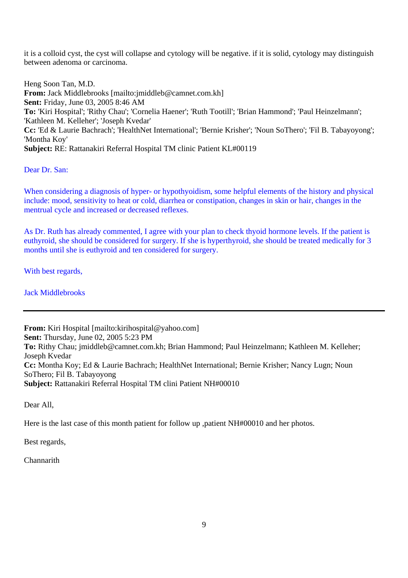it is a colloid cyst, the cyst will collapse and cytology will be negative. if it is solid, cytology may distinguish between adenoma or carcinoma.

Heng Soon Tan, M.D. **From:** Jack Middlebrooks [mailto:jmiddleb@camnet.com.kh] **Sent:** Friday, June 03, 2005 8:46 AM **To:** 'Kiri Hospital'; 'Rithy Chau'; 'Cornelia Haener'; 'Ruth Tootill'; 'Brian Hammond'; 'Paul Heinzelmann'; 'Kathleen M. Kelleher'; 'Joseph Kvedar' **Cc:** 'Ed & Laurie Bachrach'; 'HealthNet International'; 'Bernie Krisher'; 'Noun SoThero'; 'Fil B. Tabayoyong'; 'Montha Koy' **Subject:** RE: Rattanakiri Referral Hospital TM clinic Patient KL#00119

Dear Dr. San:

When considering a diagnosis of hyper- or hypothyoidism, some helpful elements of the history and physical include: mood, sensitivity to heat or cold, diarrhea or constipation, changes in skin or hair, changes in the mentrual cycle and increased or decreased reflexes.

As Dr. Ruth has already commented, I agree with your plan to check thyoid hormone levels. If the patient is euthyroid, she should be considered for surgery. If she is hyperthyroid, she should be treated medically for 3 months until she is euthyroid and ten considered for surgery.

With best regards,

Jack Middlebrooks

**From:** Kiri Hospital [mailto:kirihospital@yahoo.com] **Sent:** Thursday, June 02, 2005 5:23 PM **To:** Rithy Chau; jmiddleb@camnet.com.kh; Brian Hammond; Paul Heinzelmann; Kathleen M. Kelleher; Joseph Kvedar **Cc:** Montha Koy; Ed & Laurie Bachrach; HealthNet International; Bernie Krisher; Nancy Lugn; Noun SoThero; Fil B. Tabayoyong **Subject:** Rattanakiri Referral Hospital TM clini Patient NH#00010

Dear All,

Here is the last case of this month patient for follow up ,patient NH#00010 and her photos.

Best regards,

Channarith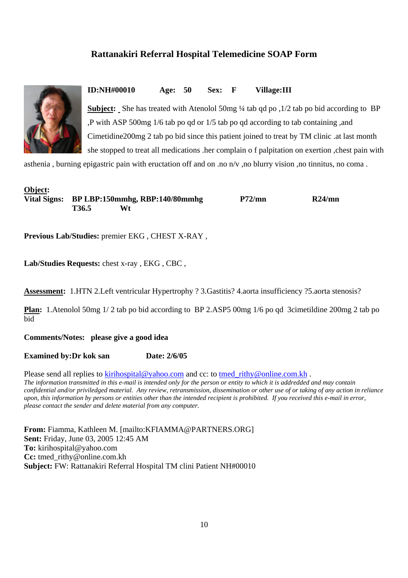# **Rattanakiri Referral Hospital Telemedicine SOAP Form**



**ID:NH#00010 Age: 50 Sex: F Village:III** 

**Subject:** She has treated with Atenolol 50mg ¼ tab qd po ,1/2 tab po bid according to BP ,P with ASP 500mg 1/6 tab po qd or 1/5 tab po qd according to tab containing ,and Cimetidine200mg 2 tab po bid since this patient joined to treat by TM clinic .at last month she stopped to treat all medications .her complain o f palpitation on exertion ,chest pain with

asthenia , burning epigastric pain with eructation off and on .no n/v ,no blurry vision ,no tinnitus, no coma .

| Object: |       |                                             |        |        |
|---------|-------|---------------------------------------------|--------|--------|
|         |       | Vital Signs: BP LBP:150mmhg, RBP:140/80mmhg | P72/mn | R24/mn |
|         | T36.5 | W1                                          |        |        |

**Previous Lab/Studies:** premier EKG , CHEST X-RAY ,

Lab/Studies Requests: chest x-ray , EKG, CBC,

**Assessment:** 1.HTN 2.Left ventricular Hypertrophy ? 3.Gastitis? 4.aorta insufficiency ?5.aorta stenosis?

**Plan:** 1.Atenolol 50mg 1/ 2 tab po bid according to BP 2.ASP5 00mg 1/6 po qd 3cimetildine 200mg 2 tab po bid

**Comments/Notes: please give a good idea** 

**Examined by:Dr kok san Date: 2/6/05** 

Please send all replies to **kirihospital@yahoo.com** and cc: to tmed\_rithy@online.com.kh. *The information transmitted in this e-mail is intended only for the person or entity to which it is addredded and may contain confidential and/or priviledged material. Any review, retransmission, dissemination or other use of or taking of any action in reliance upon, this information by persons or entities other than the intended recipient is prohibited. If you received this e-mail in error, please contact the sender and delete material from any computer.* 

**From:** Fiamma, Kathleen M. [mailto:KFIAMMA@PARTNERS.ORG] **Sent:** Friday, June 03, 2005 12:45 AM **To:** kirihospital@yahoo.com **Cc:** tmed\_rithy@online.com.kh **Subject:** FW: Rattanakiri Referral Hospital TM clini Patient NH#00010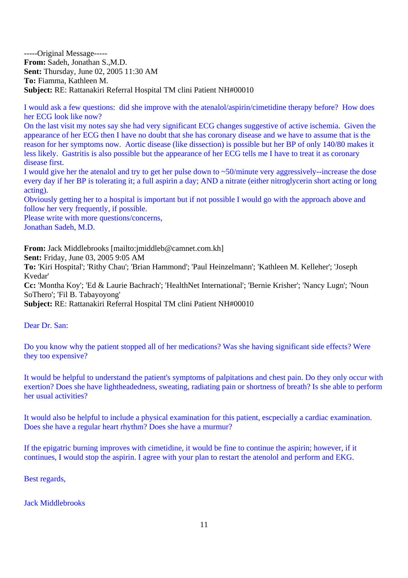-----Original Message----- **From:** Sadeh, Jonathan S.,M.D. **Sent:** Thursday, June 02, 2005 11:30 AM **To:** Fiamma, Kathleen M. **Subject:** RE: Rattanakiri Referral Hospital TM clini Patient NH#00010

I would ask a few questions: did she improve with the atenalol/aspirin/cimetidine therapy before? How does her ECG look like now?

On the last visit my notes say she had very significant ECG changes suggestive of active ischemia. Given the appearance of her ECG then I have no doubt that she has coronary disease and we have to assume that is the reason for her symptoms now. Aortic disease (like dissection) is possible but her BP of only 140/80 makes it less likely. Gastritis is also possible but the appearance of her ECG tells me I have to treat it as coronary disease first.

I would give her the atenalol and try to get her pulse down to ~50/minute very aggressively--increase the dose every day if her BP is tolerating it; a full aspirin a day; AND a nitrate (either nitroglycerin short acting or long acting).

Obviously getting her to a hospital is important but if not possible I would go with the approach above and follow her very frequently, if possible.

Please write with more questions/concerns, Jonathan Sadeh, M.D.

**From:** Jack Middlebrooks [mailto:jmiddleb@camnet.com.kh] **Sent:** Friday, June 03, 2005 9:05 AM **To:** 'Kiri Hospital'; 'Rithy Chau'; 'Brian Hammond'; 'Paul Heinzelmann'; 'Kathleen M. Kelleher'; 'Joseph Kvedar'

**Cc:** 'Montha Koy'; 'Ed & Laurie Bachrach'; 'HealthNet International'; 'Bernie Krisher'; 'Nancy Lugn'; 'Noun SoThero'; 'Fil B. Tabayoyong'

**Subject:** RE: Rattanakiri Referral Hospital TM clini Patient NH#00010

Dear Dr. San:

Do you know why the patient stopped all of her medications? Was she having significant side effects? Were they too expensive?

It would be helpful to understand the patient's symptoms of palpitations and chest pain. Do they only occur with exertion? Does she have lightheadedness, sweating, radiating pain or shortness of breath? Is she able to perform her usual activities?

It would also be helpful to include a physical examination for this patient, escpecially a cardiac examination. Does she have a regular heart rhythm? Does she have a murmur?

If the epigatric burning improves with cimetidine, it would be fine to continue the aspirin; however, if it continues, I would stop the aspirin. I agree with your plan to restart the atenolol and perform and EKG.

Best regards,

Jack Middlebrooks